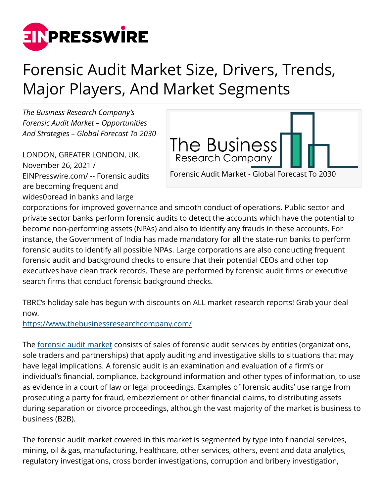

## Forensic Audit Market Size, Drivers, Trends, Major Players, And Market Segments

*The Business Research Company's Forensic Audit Market – Opportunities And Strategies – Global Forecast To 2030*

LONDON, GREATER LONDON, UK, November 26, 2021 / [EINPresswire.com](http://www.einpresswire.com)/ -- Forensic audits are becoming frequent and wides0pread in banks and large



corporations for improved governance and smooth conduct of operations. Public sector and private sector banks perform forensic audits to detect the accounts which have the potential to become non-performing assets (NPAs) and also to identify any frauds in these accounts. For instance, the Government of India has made mandatory for all the state-run banks to perform forensic audits to identify all possible NPAs. Large corporations are also conducting frequent forensic audit and background checks to ensure that their potential CEOs and other top executives have clean track records. These are performed by forensic audit firms or executive search firms that conduct forensic background checks.

TBRC's holiday sale has begun with discounts on ALL market research reports! Grab your deal now.

<https://www.thebusinessresearchcompany.com/>

The [forensic audit market](https://www.thebusinessresearchcompany.com/report/forensic-audit-market) consists of sales of forensic audit services by entities (organizations, sole traders and partnerships) that apply auditing and investigative skills to situations that may have legal implications. A forensic audit is an examination and evaluation of a firm's or individual's financial, compliance, background information and other types of information, to use as evidence in a court of law or legal proceedings. Examples of forensic audits' use range from prosecuting a party for fraud, embezzlement or other financial claims, to distributing assets during separation or divorce proceedings, although the vast majority of the market is business to business (B2B).

The forensic audit market covered in this market is segmented by type into financial services, mining, oil & gas, manufacturing, healthcare, other services, others, event and data analytics, regulatory investigations, cross border investigations, corruption and bribery investigation,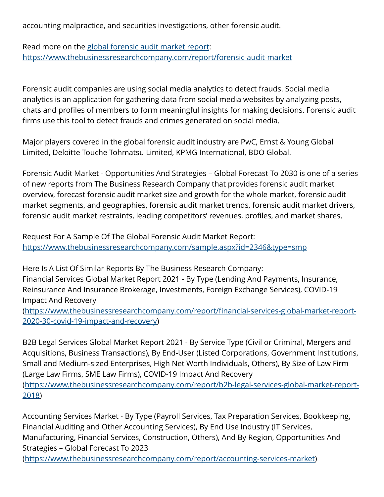accounting malpractice, and securities investigations, other forensic audit.

Read more on the [global forensic audit market report:](https://www.thebusinessresearchcompany.com/report/forensic-audit-market) <https://www.thebusinessresearchcompany.com/report/forensic-audit-market>

Forensic audit companies are using social media analytics to detect frauds. Social media analytics is an application for gathering data from social media websites by analyzing posts, chats and profiles of members to form meaningful insights for making decisions. Forensic audit firms use this tool to detect frauds and crimes generated on social media.

Major players covered in the global forensic audit industry are PwC, Ernst & Young Global Limited, Deloitte Touche Tohmatsu Limited, KPMG International, BDO Global.

Forensic Audit Market - Opportunities And Strategies – Global Forecast To 2030 is one of a series of new reports from The Business Research Company that provides forensic audit market overview, forecast forensic audit market size and growth for the whole market, forensic audit market segments, and geographies, forensic audit market trends, forensic audit market drivers, forensic audit market restraints, leading competitors' revenues, profiles, and market shares.

Request For A Sample Of The Global Forensic Audit Market Report: <https://www.thebusinessresearchcompany.com/sample.aspx?id=2346&type=smp>

Here Is A List Of Similar Reports By The Business Research Company: Financial Services Global Market Report 2021 - By Type (Lending And Payments, Insurance, Reinsurance And Insurance Brokerage, Investments, Foreign Exchange Services), COVID-19 Impact And Recovery

([https://www.thebusinessresearchcompany.com/report/financial-services-global-market-report-](https://www.thebusinessresearchcompany.com/report/financial-services-global-market-report-2020-30-covid-19-impact-and-recovery)[2020-30-covid-19-impact-and-recovery](https://www.thebusinessresearchcompany.com/report/financial-services-global-market-report-2020-30-covid-19-impact-and-recovery))

B2B Legal Services Global Market Report 2021 - By Service Type (Civil or Criminal, Mergers and Acquisitions, Business Transactions), By End-User (Listed Corporations, Government Institutions, Small and Medium-sized Enterprises, High Net Worth Individuals, Others), By Size of Law Firm (Large Law Firms, SME Law Firms), COVID-19 Impact And Recovery ([https://www.thebusinessresearchcompany.com/report/b2b-legal-services-global-market-report-](https://www.thebusinessresearchcompany.com/report/b2b-legal-services-global-market-report-2018)[2018](https://www.thebusinessresearchcompany.com/report/b2b-legal-services-global-market-report-2018))

Accounting Services Market - By Type (Payroll Services, Tax Preparation Services, Bookkeeping, Financial Auditing and Other Accounting Services), By End Use Industry (IT Services, Manufacturing, Financial Services, Construction, Others), And By Region, Opportunities And Strategies – Global Forecast To 2023 (<https://www.thebusinessresearchcompany.com/report/accounting-services-market>)